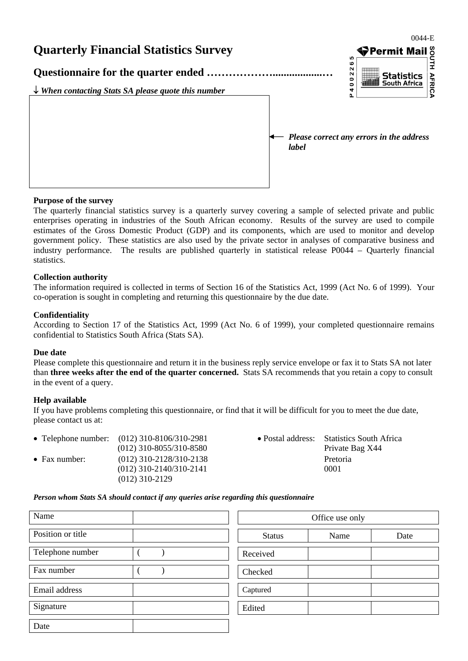

#### **Purpose of the survey**

The quarterly financial statistics survey is a quarterly survey covering a sample of selected private and public enterprises operating in industries of the South African economy. Results of the survey are used to compile estimates of the Gross Domestic Product (GDP) and its components, which are used to monitor and develop government policy. These statistics are also used by the private sector in analyses of comparative business and industry performance. The results are published quarterly in statistical release P0044 – Quarterly financial statistics.

#### **Collection authority**

The information required is collected in terms of Section 16 of the Statistics Act, 1999 (Act No. 6 of 1999). Your co-operation is sought in completing and returning this questionnaire by the due date.

#### **Confidentiality**

According to Section 17 of the Statistics Act, 1999 (Act No. 6 of 1999), your completed questionnaire remains confidential to Statistics South Africa (Stats SA).

#### **Due date**

Please complete this questionnaire and return it in the business reply service envelope or fax it to Stats SA not later than **three weeks after the end of the quarter concerned.** Stats SA recommends that you retain a copy to consult in the event of a query.

#### **Help available**

If you have problems completing this questionnaire, or find that it will be difficult for you to meet the due date, please contact us at:

|                       | • Telephone number: $(012)$ 310-8106/310-2981 | • Postal address: Statistics South Africa |
|-----------------------|-----------------------------------------------|-------------------------------------------|
|                       | $(012)$ 310-8055/310-8580                     | Private Bag X44                           |
| $\bullet$ Fax number: | $(012)$ 310-2128/310-2138                     | Pretoria                                  |
|                       | $(012)$ 310-2140/310-2141                     | 0001                                      |
|                       | $(012)$ 310-2129                              |                                           |

*Person whom Stats SA should contact if any queries arise regarding this questionnaire* 

| Name              |  | Office use only |      |      |
|-------------------|--|-----------------|------|------|
| Position or title |  | <b>Status</b>   | Name | Date |
| Telephone number  |  | Received        |      |      |
| Fax number        |  | Checked         |      |      |
| Email address     |  | Captured        |      |      |
| Signature         |  | Edited          |      |      |
| Date              |  |                 |      |      |

| Office use only |      |      |  |  |  |
|-----------------|------|------|--|--|--|
| <b>Status</b>   | Name | Date |  |  |  |
| Received        |      |      |  |  |  |
| Checked         |      |      |  |  |  |
| Captured        |      |      |  |  |  |
| Edited          |      |      |  |  |  |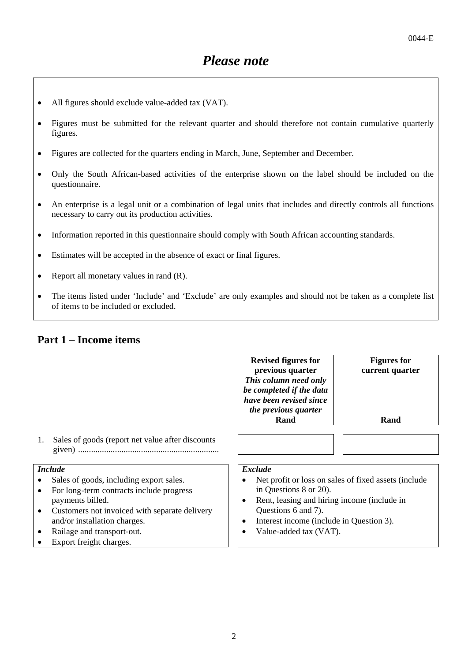- All figures should exclude value-added tax (VAT).
- Figures must be submitted for the relevant quarter and should therefore not contain cumulative quarterly figures.
- Figures are collected for the quarters ending in March, June, September and December.
- Only the South African-based activities of the enterprise shown on the label should be included on the questionnaire.
- An enterprise is a legal unit or a combination of legal units that includes and directly controls all functions necessary to carry out its production activities.
- Information reported in this questionnaire should comply with South African accounting standards.
- Estimates will be accepted in the absence of exact or final figures.
- Report all monetary values in rand  $(R)$ .
- The items listed under 'Include' and 'Exclude' are only examples and should not be taken as a complete list of items to be included or excluded.

### **Part 1 – Income items**

|                             |                                                                                                                                                                                                                                                   | <b>Revised figures for</b><br>previous quarter<br>This column need only<br>be completed if the data<br>have been revised since<br>the previous quarter                                                                                             | <b>Figures for</b><br>current quarter |
|-----------------------------|---------------------------------------------------------------------------------------------------------------------------------------------------------------------------------------------------------------------------------------------------|----------------------------------------------------------------------------------------------------------------------------------------------------------------------------------------------------------------------------------------------------|---------------------------------------|
|                             |                                                                                                                                                                                                                                                   | Rand                                                                                                                                                                                                                                               | Rand                                  |
| 1.                          | Sales of goods (report net value after discounts                                                                                                                                                                                                  |                                                                                                                                                                                                                                                    |                                       |
|                             | <i>Include</i>                                                                                                                                                                                                                                    | <b>Exclude</b>                                                                                                                                                                                                                                     |                                       |
| $\bullet$<br>$\bullet$<br>٠ | Sales of goods, including export sales.<br>For long-term contracts include progress<br>payments billed.<br>Customers not invoiced with separate delivery<br>and/or installation charges.<br>Railage and transport-out.<br>Export freight charges. | Net profit or loss on sales of fixed assets (include<br>in Questions 8 or 20).<br>Rent, leasing and hiring income (include in<br>$\epsilon$<br>Questions 6 and 7).<br>Interest income (include in Question 3).<br>٠<br>Value-added tax (VAT).<br>٠ |                                       |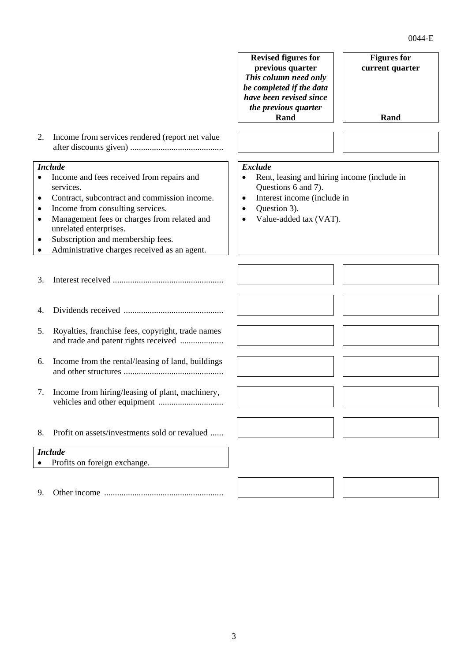|           |                                                                                           | <b>Revised figures for</b><br>previous quarter<br>This column need only | <b>Figures for</b><br>current quarter |  |  |
|-----------|-------------------------------------------------------------------------------------------|-------------------------------------------------------------------------|---------------------------------------|--|--|
|           |                                                                                           | be completed if the data<br>have been revised since                     |                                       |  |  |
|           |                                                                                           | the previous quarter<br>Rand                                            | Rand                                  |  |  |
|           |                                                                                           |                                                                         |                                       |  |  |
| 2.        | Income from services rendered (report net value                                           |                                                                         |                                       |  |  |
|           | <b>Include</b>                                                                            | <b>Exclude</b>                                                          |                                       |  |  |
|           | Income and fees received from repairs and<br>services.                                    | Rent, leasing and hiring income (include in<br>Questions 6 and 7).      |                                       |  |  |
| ٠         | Contract, subcontract and commission income.                                              | Interest income (include in<br>$\bullet$                                |                                       |  |  |
| $\bullet$ | Income from consulting services.                                                          | Question 3).<br>$\bullet$                                               |                                       |  |  |
| $\bullet$ | Management fees or charges from related and                                               | Value-added tax (VAT).<br>$\bullet$                                     |                                       |  |  |
| ٠         | unrelated enterprises.<br>Subscription and membership fees.                               |                                                                         |                                       |  |  |
|           | Administrative charges received as an agent.                                              |                                                                         |                                       |  |  |
| 3.        |                                                                                           |                                                                         |                                       |  |  |
| 4.        |                                                                                           |                                                                         |                                       |  |  |
| 5.        | Royalties, franchise fees, copyright, trade names<br>and trade and patent rights received |                                                                         |                                       |  |  |
| 6.        | Income from the rental/leasing of land, buildings                                         |                                                                         |                                       |  |  |
| 7.        | Income from hiring/leasing of plant, machinery,<br>vehicles and other equipment           |                                                                         |                                       |  |  |
| 8.        | Profit on assets/investments sold or revalued                                             |                                                                         |                                       |  |  |
|           | <b>Include</b>                                                                            |                                                                         |                                       |  |  |
|           | Profits on foreign exchange.                                                              |                                                                         |                                       |  |  |
| 9.        |                                                                                           |                                                                         |                                       |  |  |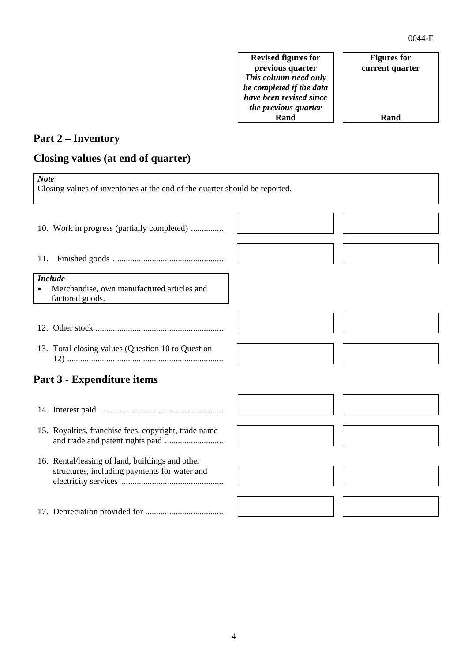**Revised figures for previous quarter**  *This column need only be completed if the data have been revised since the previous quarter* **Rand**

#### **Figures for current quarter**

**Rand**

# **Part 2 – Inventory**

### **Closing values (at end of quarter)**

| <b>Note</b><br>Closing values of inventories at the end of the quarter should be reported. |                                                                                                 |  |  |  |
|--------------------------------------------------------------------------------------------|-------------------------------------------------------------------------------------------------|--|--|--|
|                                                                                            | 10. Work in progress (partially completed)                                                      |  |  |  |
| 11.                                                                                        |                                                                                                 |  |  |  |
|                                                                                            | <b>Include</b><br>Merchandise, own manufactured articles and<br>factored goods.                 |  |  |  |
|                                                                                            |                                                                                                 |  |  |  |
|                                                                                            | 13. Total closing values (Question 10 to Question                                               |  |  |  |
|                                                                                            | Part 3 - Expenditure items                                                                      |  |  |  |
|                                                                                            |                                                                                                 |  |  |  |
|                                                                                            | 15. Royalties, franchise fees, copyright, trade name                                            |  |  |  |
|                                                                                            | 16. Rental/leasing of land, buildings and other<br>structures, including payments for water and |  |  |  |
|                                                                                            |                                                                                                 |  |  |  |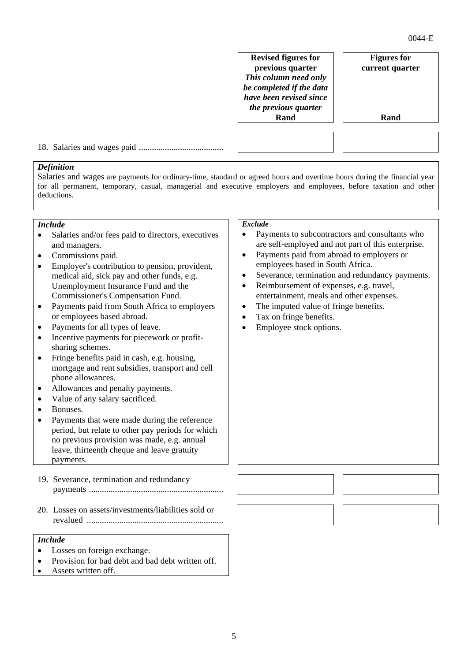**Revised figures for previous quarter**  *This column need only be completed if the data have been revised since the previous quarter* **Rand**

**Figures for current quarter** 

**Rand**

18. Salaries and wages paid .......................................

### *Definition*

Salaries and wages are payments for ordinary-time, standard or agreed hours and overtime hours during the financial year for all permanent, temporary, casual, managerial and executive employers and employees, before taxation and other deductions.

#### *Include*

- Salaries and/or fees paid to directors, executives and managers.
- Commissions paid.
- Employer's contribution to pension, provident, medical aid, sick pay and other funds, e.g. Unemployment Insurance Fund and the Commissioner's Compensation Fund.
- Payments paid from South Africa to employers or employees based abroad.
- Payments for all types of leave.
- Incentive payments for piecework or profitsharing schemes.
- Fringe benefits paid in cash, e.g. housing, mortgage and rent subsidies, transport and cell phone allowances.
- Allowances and penalty payments.
- Value of any salary sacrificed.
- Bonuses.
- Payments that were made during the reference period, but relate to other pay periods for which no previous provision was made, e.g. annual leave, thirteenth cheque and leave gratuity payments.
- 19. Severance, termination and redundancy payments ..............................................................
- 20. Losses on assets/investments/liabilities sold or revalued ...............................................................

#### *Include*

- Losses on foreign exchange.
- Provision for bad debt and bad debt written off.
- Assets written off.

#### *Exclude*

- Payments to subcontractors and consultants who are self-employed and not part of this enterprise.
- Payments paid from abroad to employers or employees based in South Africa.
- Severance, termination and redundancy payments.
- Reimbursement of expenses, e.g. travel, entertainment, meals and other expenses.
- The imputed value of fringe benefits.
- Tax on fringe benefits.
- Employee stock options.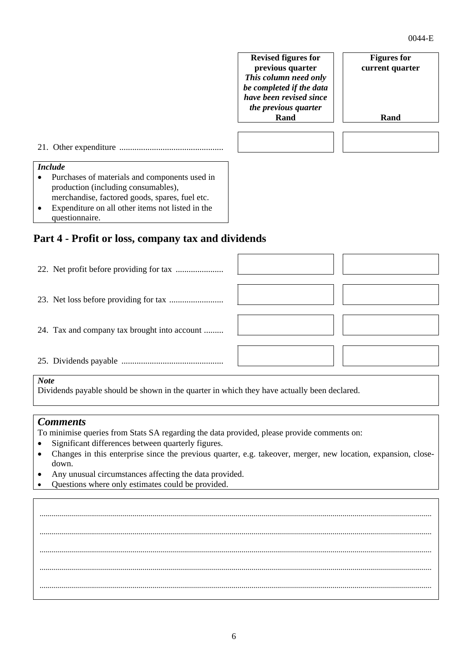## **Revised figures for previous quarter**  *This column need only be completed if the data have been revised since the previous quarter* **Rand Figures for current quarter Rand** 21. Other expenditure ................................................ *Include*  • Purchases of materials and components used in production (including consumables), merchandise, factored goods, spares, fuel etc. • Expenditure on all other items not listed in the questionnaire. **Part 4 - Profit or loss, company tax and dividends**  22. Net profit before providing for tax ...................... 23. Net loss before providing for tax .........................

24. Tax and company tax brought into account .........

25. Dividends payable ...............................................

### *Note*

Dividends payable should be shown in the quarter in which they have actually been declared.

### *Comments*

To minimise queries from Stats SA regarding the data provided, please provide comments on:

- Significant differences between quarterly figures.
- Changes in this enterprise since the previous quarter, e.g. takeover, merger, new location, expansion, closedown.
- Any unusual circumstances affecting the data provided.
- Questions where only estimates could be provided.

...................................................................................................................................................................................................... ...................................................................................................................................................................................................... ...................................................................................................................................................................................................... ...................................................................................................................................................................................................... ......................................................................................................................................................................................................